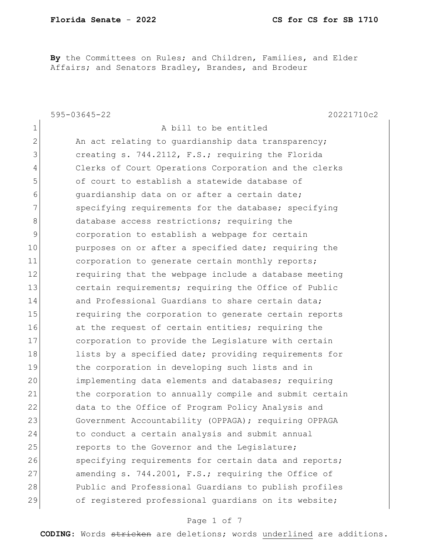**By** the Committees on Rules; and Children, Families, and Elder Affairs; and Senators Bradley, Brandes, and Brodeur

|                | 20221710c2<br>595-03645-22                             |
|----------------|--------------------------------------------------------|
| $\mathbf 1$    | A bill to be entitled                                  |
| $\overline{2}$ | An act relating to guardianship data transparency;     |
| 3              | creating s. 744.2112, F.S.; requiring the Florida      |
| 4              | Clerks of Court Operations Corporation and the clerks  |
| 5              | of court to establish a statewide database of          |
| 6              | quardianship data on or after a certain date;          |
| 7              | specifying requirements for the database; specifying   |
| 8              | database access restrictions; requiring the            |
| $\mathcal{G}$  | corporation to establish a webpage for certain         |
| 10             | purposes on or after a specified date; requiring the   |
| 11             | corporation to generate certain monthly reports;       |
| 12             | requiring that the webpage include a database meeting  |
| 13             | certain requirements; requiring the Office of Public   |
| 14             | and Professional Guardians to share certain data;      |
| 15             | requiring the corporation to generate certain reports  |
| 16             | at the request of certain entities; requiring the      |
| 17             | corporation to provide the Legislature with certain    |
| 18             | lists by a specified date; providing requirements for  |
| 19             | the corporation in developing such lists and in        |
| 20             | implementing data elements and databases; requiring    |
| 21             | the corporation to annually compile and submit certain |
| 22             | data to the Office of Program Policy Analysis and      |
| 23             | Government Accountability (OPPAGA); requiring OPPAGA   |
| 24             | to conduct a certain analysis and submit annual        |
| 25             | reports to the Governor and the Legislature;           |
| 26             | specifying requirements for certain data and reports;  |
| 27             | amending s. 744.2001, F.S.; requiring the Office of    |
| 28             | Public and Professional Guardians to publish profiles  |
| 29             | of registered professional guardians on its website;   |

### Page 1 of 7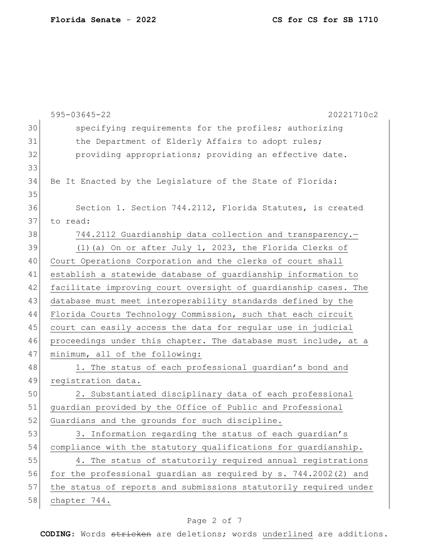|    | 595-03645-22<br>20221710c2                                       |
|----|------------------------------------------------------------------|
| 30 | specifying requirements for the profiles; authorizing            |
| 31 | the Department of Elderly Affairs to adopt rules;                |
| 32 | providing appropriations; providing an effective date.           |
| 33 |                                                                  |
| 34 | Be It Enacted by the Legislature of the State of Florida:        |
| 35 |                                                                  |
| 36 | Section 1. Section 744.2112, Florida Statutes, is created        |
| 37 | to read:                                                         |
| 38 | 744.2112 Guardianship data collection and transparency.-         |
| 39 | (1) (a) On or after July 1, 2023, the Florida Clerks of          |
| 40 | Court Operations Corporation and the clerks of court shall       |
| 41 | establish a statewide database of quardianship information to    |
| 42 | facilitate improving court oversight of guardianship cases. The  |
| 43 | database must meet interoperability standards defined by the     |
| 44 | Florida Courts Technology Commission, such that each circuit     |
| 45 | court can easily access the data for regular use in judicial     |
| 46 | proceedings under this chapter. The database must include, at a  |
| 47 | minimum, all of the following:                                   |
| 48 | 1. The status of each professional guardian's bond and           |
| 49 | registration data.                                               |
| 50 | 2. Substantiated disciplinary data of each professional          |
| 51 | guardian provided by the Office of Public and Professional       |
| 52 | Guardians and the grounds for such discipline.                   |
| 53 | 3. Information regarding the status of each guardian's           |
| 54 | compliance with the statutory qualifications for guardianship.   |
| 55 | 4. The status of statutorily required annual registrations       |
| 56 | for the professional guardian as required by s. 744.2002(2) and  |
| 57 | the status of reports and submissions statutorily required under |
| 58 | chapter 744.                                                     |
|    |                                                                  |

# Page 2 of 7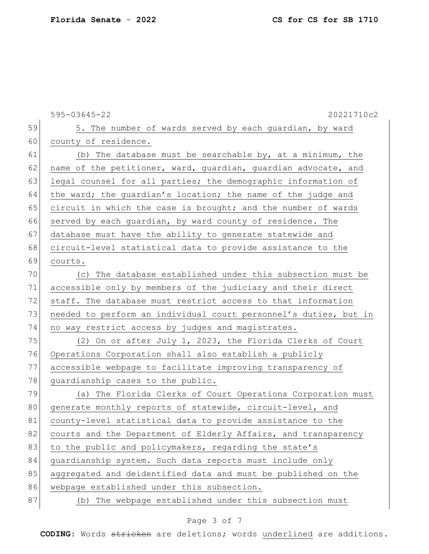|    | 595-03645-22<br>20221710c2                                       |
|----|------------------------------------------------------------------|
| 59 | 5. The number of wards served by each quardian, by ward          |
| 60 | county of residence.                                             |
| 61 | (b) The database must be searchable by, at a minimum, the        |
| 62 | name of the petitioner, ward, guardian, guardian advocate, and   |
| 63 | legal counsel for all parties; the demographic information of    |
| 64 | the ward; the guardian's location; the name of the judge and     |
| 65 | circuit in which the case is brought; and the number of wards    |
| 66 | served by each guardian, by ward county of residence. The        |
| 67 | database must have the ability to generate statewide and         |
| 68 | circuit-level statistical data to provide assistance to the      |
| 69 | courts.                                                          |
| 70 | (c) The database established under this subsection must be       |
| 71 | accessible only by members of the judiciary and their direct     |
| 72 | staff. The database must restrict access to that information     |
| 73 | needed to perform an individual court personnel's duties, but in |
| 74 | no way restrict access by judges and magistrates.                |
| 75 | (2) On or after July 1, 2023, the Florida Clerks of Court        |
| 76 | Operations Corporation shall also establish a publicly           |
| 77 | accessible webpage to facilitate improving transparency of       |
| 78 | guardianship cases to the public.                                |
| 79 | (a) The Florida Clerks of Court Operations Corporation must      |
| 80 | generate monthly reports of statewide, circuit-level, and        |
| 81 | county-level statistical data to provide assistance to the       |
| 82 | courts and the Department of Elderly Affairs, and transparency   |
| 83 | to the public and policymakers, regarding the state's            |
| 84 | guardianship system. Such data reports must include only         |
| 85 | aggregated and deidentified data and must be published on the    |
| 86 | webpage established under this subsection.                       |
| 87 | (b) The webpage established under this subsection must           |

# Page 3 of 7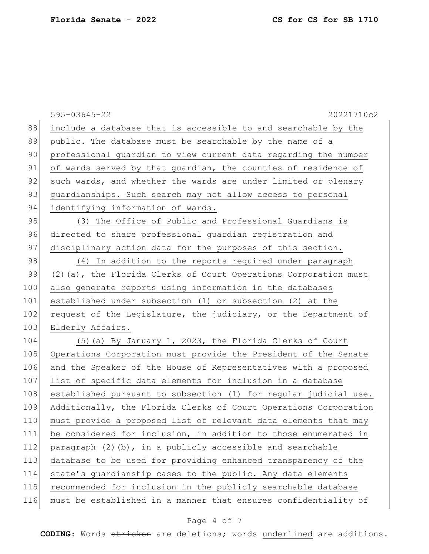|     | 595-03645-22<br>20221710c2                                       |
|-----|------------------------------------------------------------------|
| 88  | include a database that is accessible to and searchable by the   |
| 89  | public. The database must be searchable by the name of a         |
| 90  | professional guardian to view current data regarding the number  |
| 91  | of wards served by that guardian, the counties of residence of   |
| 92  | such wards, and whether the wards are under limited or plenary   |
| 93  | quardianships. Such search may not allow access to personal      |
| 94  | identifying information of wards.                                |
| 95  | (3) The Office of Public and Professional Guardians is           |
| 96  | directed to share professional guardian registration and         |
| 97  | disciplinary action data for the purposes of this section.       |
| 98  | (4) In addition to the reports required under paragraph          |
| 99  | (2) (a), the Florida Clerks of Court Operations Corporation must |
| 100 | also generate reports using information in the databases         |
| 101 | established under subsection (1) or subsection (2) at the        |
| 102 | request of the Legislature, the judiciary, or the Department of  |
| 103 | Elderly Affairs.                                                 |
| 104 | (5) (a) By January 1, 2023, the Florida Clerks of Court          |
| 105 | Operations Corporation must provide the President of the Senate  |
| 106 | and the Speaker of the House of Representatives with a proposed  |
| 107 | list of specific data elements for inclusion in a database       |
| 108 | established pursuant to subsection (1) for regular judicial use. |
| 109 | Additionally, the Florida Clerks of Court Operations Corporation |
| 110 | must provide a proposed list of relevant data elements that may  |
| 111 | be considered for inclusion, in addition to those enumerated in  |
| 112 | paragraph (2)(b), in a publicly accessible and searchable        |
| 113 | database to be used for providing enhanced transparency of the   |
| 114 | state's guardianship cases to the public. Any data elements      |
| 115 | recommended for inclusion in the publicly searchable database    |
| 116 | must be established in a manner that ensures confidentiality of  |
|     |                                                                  |

# Page 4 of 7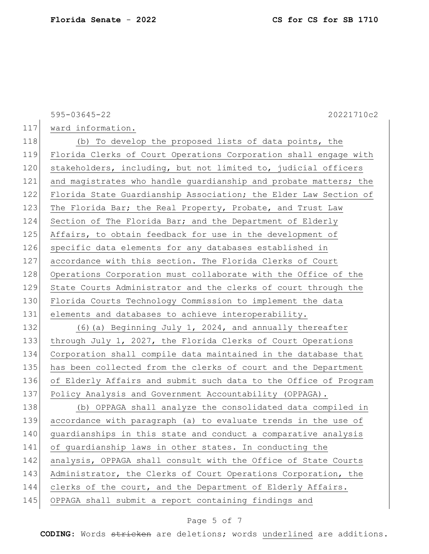595-03645-22 20221710c2 117 ward information. 118 (b) To develop the proposed lists of data points, the 119 Florida Clerks of Court Operations Corporation shall engage with 120 stakeholders, including, but not limited to, judicial officers 121 and magistrates who handle quardianship and probate matters; the 122 Florida State Guardianship Association; the Elder Law Section of 123 The Florida Bar; the Real Property, Probate, and Trust Law 124 Section of The Florida Bar; and the Department of Elderly 125 Affairs, to obtain feedback for use in the development of 126 specific data elements for any databases established in 127 accordance with this section. The Florida Clerks of Court 128 Operations Corporation must collaborate with the Office of the 129 State Courts Administrator and the clerks of court through the 130 Florida Courts Technology Commission to implement the data 131 elements and databases to achieve interoperability. 132 (6) (a) Beginning July 1, 2024, and annually thereafter 133 through July 1, 2027, the Florida Clerks of Court Operations 134 Corporation shall compile data maintained in the database that 135 has been collected from the clerks of court and the Department 136 of Elderly Affairs and submit such data to the Office of Program 137 Policy Analysis and Government Accountability (OPPAGA). 138 (b) OPPAGA shall analyze the consolidated data compiled in 139 accordance with paragraph (a) to evaluate trends in the use of 140 guardianships in this state and conduct a comparative analysis 141 of quardianship laws in other states. In conducting the 142 analysis, OPPAGA shall consult with the Office of State Courts 143 Administrator, the Clerks of Court Operations Corporation, the 144 clerks of the court, and the Department of Elderly Affairs. 145 OPPAGA shall submit a report containing findings and

### Page 5 of 7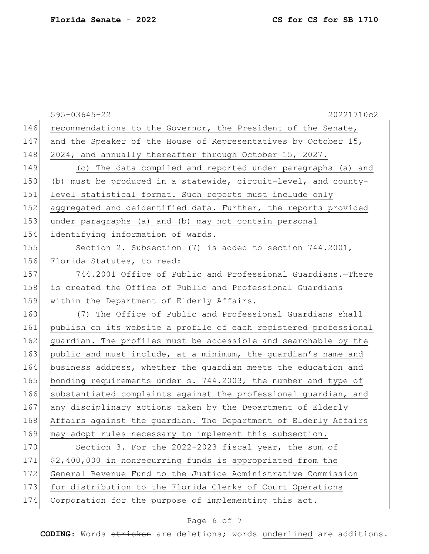|     | 20221710c2<br>$595 - 03645 - 22$                                 |
|-----|------------------------------------------------------------------|
| 146 | recommendations to the Governor, the President of the Senate,    |
| 147 | and the Speaker of the House of Representatives by October 15,   |
| 148 | 2024, and annually thereafter through October 15, 2027.          |
| 149 | (c) The data compiled and reported under paragraphs (a) and      |
| 150 | (b) must be produced in a statewide, circuit-level, and county-  |
| 151 | level statistical format. Such reports must include only         |
| 152 | aggregated and deidentified data. Further, the reports provided  |
| 153 | under paragraphs (a) and (b) may not contain personal            |
| 154 | identifying information of wards.                                |
| 155 | Section 2. Subsection (7) is added to section 744.2001,          |
| 156 | Florida Statutes, to read:                                       |
| 157 | 744.2001 Office of Public and Professional Guardians.-There      |
| 158 | is created the Office of Public and Professional Guardians       |
| 159 | within the Department of Elderly Affairs.                        |
| 160 | (7) The Office of Public and Professional Guardians shall        |
| 161 | publish on its website a profile of each registered professional |
| 162 | guardian. The profiles must be accessible and searchable by the  |
| 163 | public and must include, at a minimum, the guardian's name and   |
| 164 | business address, whether the guardian meets the education and   |
| 165 | bonding requirements under s. 744.2003, the number and type of   |
| 166 | substantiated complaints against the professional guardian, and  |
| 167 | any disciplinary actions taken by the Department of Elderly      |
| 168 | Affairs against the guardian. The Department of Elderly Affairs  |
| 169 | may adopt rules necessary to implement this subsection.          |
| 170 | Section 3. For the 2022-2023 fiscal year, the sum of             |
| 171 | \$2,400,000 in nonrecurring funds is appropriated from the       |
| 172 | General Revenue Fund to the Justice Administrative Commission    |
| 173 | for distribution to the Florida Clerks of Court Operations       |
| 174 | Corporation for the purpose of implementing this act.            |

# Page 6 of 7